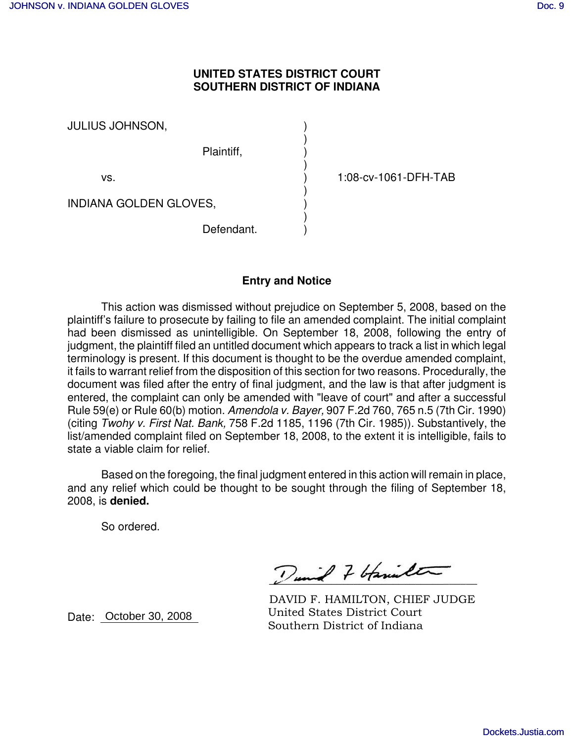## **UNITED STATES DISTRICT COURT SOUTHERN DISTRICT OF INDIANA**

)

)

)

)

JULIUS JOHNSON, )

Plaintiff, )

vs. ) 1:08-cv-1061-DFH-TAB

INDIANA GOLDEN GLOVES, )

Defendant.

## **Entry and Notice**

This action was dismissed without prejudice on September 5, 2008, based on the plaintiff's failure to prosecute by failing to file an amended complaint. The initial complaint had been dismissed as unintelligible. On September 18, 2008, following the entry of judgment, the plaintiff filed an untitled document which appears to track a list in which legal terminology is present. If this document is thought to be the overdue amended complaint, it fails to warrant relief from the disposition of this section for two reasons. Procedurally, the document was filed after the entry of final judgment, and the law is that after judgment is entered, the complaint can only be amended with "leave of court" and after a successful Rule 59(e) or Rule 60(b) motion. *Amendola v. Bayer,* 907 F.2d 760, 765 n.5 (7th Cir. 1990) (citing *Twohy v. First Nat. Bank,* 758 F.2d 1185, 1196 (7th Cir. 1985)). Substantively, the list/amended complaint filed on September 18, 2008, to the extent it is intelligible, fails to state a viable claim for relief.

Based on the foregoing, the final judgment entered in this action will remain in place, and any relief which could be thought to be sought through the filing of September 18, 2008, is **denied.**

So ordered.

 $\frac{1}{2}$  and  $\frac{1}{2}$  of the set

DAVID F. HAMILTON, Chief Judge DAVID F. HAMILTON, CHIEF JUDGE  $U$ AVID F. HAMILION, CI United States District Court Southern District of Indiana

Date: **October 30, 2008**